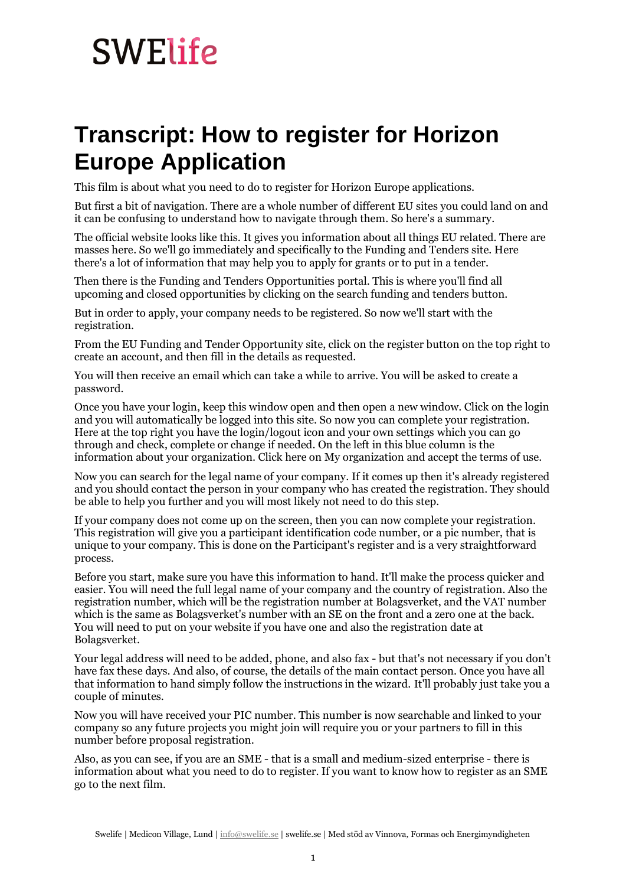## **SWElife**

## **Transcript: How to register for Horizon Europe Application**

This film is about what you need to do to register for Horizon Europe applications.

But first a bit of navigation. There are a whole number of different EU sites you could land on and it can be confusing to understand how to navigate through them. So here's a summary.

The official website looks like this. It gives you information about all things EU related. There are masses here. So we'll go immediately and specifically to the Funding and Tenders site. Here there's a lot of information that may help you to apply for grants or to put in a tender.

Then there is the Funding and Tenders Opportunities portal. This is where you'll find all upcoming and closed opportunities by clicking on the search funding and tenders button.

But in order to apply, your company needs to be registered. So now we'll start with the registration.

From the EU Funding and Tender Opportunity site, click on the register button on the top right to create an account, and then fill in the details as requested.

You will then receive an email which can take a while to arrive. You will be asked to create a password.

Once you have your login, keep this window open and then open a new window. Click on the login and you will automatically be logged into this site. So now you can complete your registration. Here at the top right you have the login/logout icon and your own settings which you can go through and check, complete or change if needed. On the left in this blue column is the information about your organization. Click here on My organization and accept the terms of use.

Now you can search for the legal name of your company. If it comes up then it's already registered and you should contact the person in your company who has created the registration. They should be able to help you further and you will most likely not need to do this step.

If your company does not come up on the screen, then you can now complete your registration. This registration will give you a participant identification code number, or a pic number, that is unique to your company. This is done on the Participant's register and is a very straightforward process.

Before you start, make sure you have this information to hand. It'll make the process quicker and easier. You will need the full legal name of your company and the country of registration. Also the registration number, which will be the registration number at Bolagsverket, and the VAT number which is the same as Bolagsverket's number with an SE on the front and a zero one at the back. You will need to put on your website if you have one and also the registration date at Bolagsverket.

Your legal address will need to be added, phone, and also fax - but that's not necessary if you don't have fax these days. And also, of course, the details of the main contact person. Once you have all that information to hand simply follow the instructions in the wizard. It'll probably just take you a couple of minutes.

Now you will have received your PIC number. This number is now searchable and linked to your company so any future projects you might join will require you or your partners to fill in this number before proposal registration.

Also, as you can see, if you are an SME - that is a small and medium-sized enterprise - there is information about what you need to do to register. If you want to know how to register as an SME go to the next film.